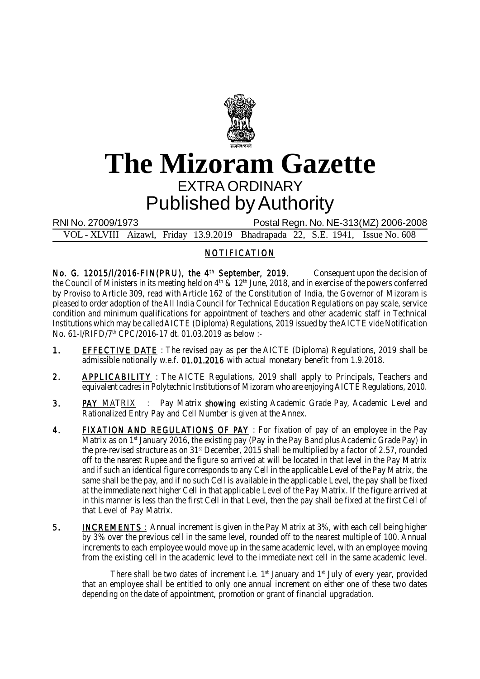

## **The Mizoram Gazette** EXTRA ORDINARY Published by Authority

RNI No. 27009/1973 Postal Regn. No. NE-313(MZ) 2006-2008 VOL - XLVIII Aizawl, Friday 13.9.2019 Bhadrapada 22, S.E. 1941, Issue No. 608

## NOTIFICATION

No. G. 12015/I/2016-FIN(PRU), the 4<sup>th</sup> September, 2019. Consequent upon the decision of the Council of Ministers in its meeting held on 4<sup>th</sup> & 12<sup>th</sup> June, 2018, and in exercise of the powers conferred by Proviso to Article 309, read with Article 162 of the Constitution of India, the Governor of Mizoram is pleased to order adoption of the All India Council for Technical Education Regulations on pay scale, service condition and minimum qualifications for appointment of teachers and other academic staff in Technical Institutions which may be called AICTE (Diploma) Regulations, 2019 issued by the AICTE vide Notification No. 61-I/RIFD/7<sup>th</sup> CPC/2016-17 dt. 01.03.2019 as below :-

- 1. EFFECTIVE DATE : The revised pay as per the AICTE (Diploma) Regulations, 2019 shall be admissible notionally w.e.f. 01.01.2016 with actual monetary benefit from 1.9.2018.
- 2. **APPLICABILITY**: The AICTE Regulations, 2019 shall apply to Principals, Teachers and equivalent cadres in Polytechnic Institutions of Mizoram who are enjoying AICTE Regulations, 2010.
- 3. PAY MATRIX : Pay Matrix showing existing Academic Grade Pay, Academic Level and Rationalized Entry Pay and Cell Number is given at the Annex.
- 4. FIXATION AND REGULATIONS OF PAY : For fixation of pay of an employee in the Pay Matrix as on  $1<sup>st</sup>$  January 2016, the existing pay (Pay in the Pay Band plus Academic Grade Pay) in the pre-revised structure as on 31<sup>st</sup> December, 2015 shall be multiplied by a factor of 2.57, rounded off to the nearest Rupee and the figure so arrived at will be located in that level in the Pay Matrix and if such an identical figure corresponds to any Cell in the applicable Level of the Pay Matrix, the same shall be the pay, and if no such Cell is available in the applicable Level, the pay shall be fixed at the immediate next higher Cell in that applicable Level of the Pay Matrix. If the figure arrived at in this manner is less than the first Cell in that Level, then the pay shall be fixed at the first Cell of that Level of Pay Matrix.
- 5. INCREMENTS : Annual increment is given in the Pay Matrix at 3%, with each cell being higher by 3% over the previous cell in the same level, rounded off to the nearest multiple of 100. Annual increments to each employee would move up in the same academic level, with an employee moving from the existing cell in the academic level to the immediate next cell in the same academic level.

There shall be two dates of increment i.e.  $1<sup>st</sup>$  January and  $1<sup>st</sup>$  July of every year, provided that an employee shall be entitled to only one annual increment on either one of these two dates depending on the date of appointment, promotion or grant of financial upgradation.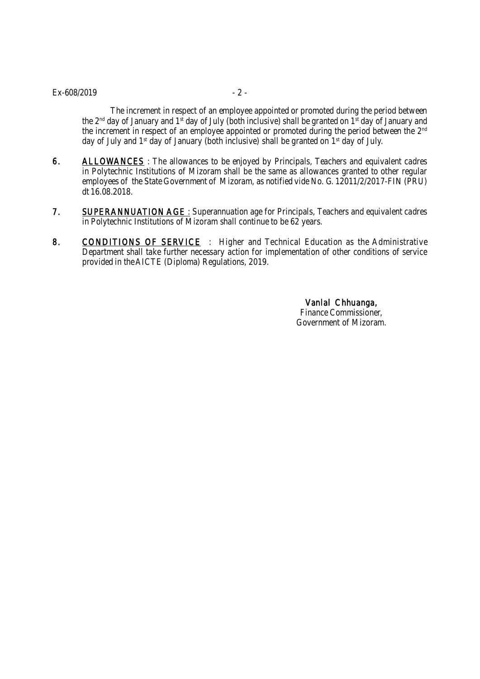## $Ex - 608/2019$  - 2 -

The increment in respect of an employee appointed or promoted during the period between the 2<sup>nd</sup> day of January and 1<sup>st</sup> day of July (both inclusive) shall be granted on 1<sup>st</sup> day of January and the increment in respect of an employee appointed or promoted during the period between the 2<sup>nd</sup> day of July and  $1<sup>st</sup>$  day of January (both inclusive) shall be granted on  $1<sup>st</sup>$  day of July.

- 6. ALLOWANCES: The allowances to be enjoyed by Principals, Teachers and equivalent cadres in Polytechnic Institutions of Mizoram shall be the same as allowances granted to other regular employees of the State Government of Mizoram, as notified vide No. G. 12011/2/2017-FIN (PRU) dt 16.08.2018.
- 7. SUPERANNUATION AGE : Superannuation age for Principals, Teachers and equivalent cadres in Polytechnic Institutions of Mizoram shall continue to be 62 years.
- 8. CONDITIONS OF SERVICE : Higher and Technical Education as the Administrative Department shall take further necessary action for implementation of other conditions of service provided in the AICTE (Diploma) Regulations, 2019.

Vanlal Chhuanga, Finance Commissioner, Government of Mizoram.